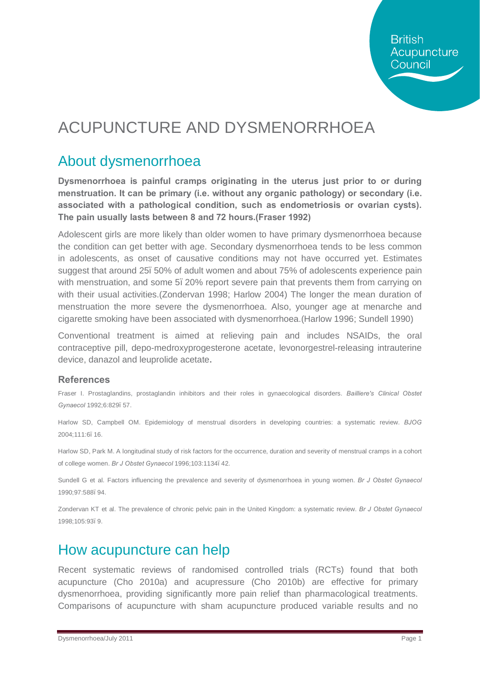# ACUPUNCTURE AND DYSMENORRHOEA

### About dysmenorrhoea

**Dysmenorrhoea is painful cramps originating in the uterus just prior to or during menstruation. It can be primary (i.e. without any organic pathology) or secondary (i.e. associated with a pathological condition, such as endometriosis or ovarian cysts). The pain usually lasts between 8 and 72 hours.(Fraser 1992)** 

Adolescent girls are more likely than older women to have primary dysmenorrhoea because the condition can get better with age. Secondary dysmenorrhoea tends to be less common in adolescents, as onset of causative conditions may not have occurred yet. Estimates suggest that around 25–50% of adult women and about 75% of adolescents experience pain with menstruation, and some 5, 20% report severe pain that prevents them from carrying on with their usual activities.(Zondervan 1998; Harlow 2004) The longer the mean duration of menstruation the more severe the dysmenorrhoea. Also, younger age at menarche and cigarette smoking have been associated with dysmenorrhoea.(Harlow 1996; Sundell 1990)

Conventional treatment is aimed at relieving pain and includes NSAIDs, the oral contraceptive pill, depo-medroxyprogesterone acetate, levonorgestrel-releasing intrauterine device, danazol and leuprolide acetate**.**

#### **References**

Fraser I. Prostaglandins, prostaglandin inhibitors and their roles in gynaecological disorders. *Bailliere's Clinical Obstet Gynaecol* 1992;6:829–57.

Harlow SD, Campbell OM. Epidemiology of menstrual disorders in developing countries: a systematic review. *BJOG*  2004;111:6–16.

Harlow SD, Park M. A longitudinal study of risk factors for the occurrence, duration and severity of menstrual cramps in a cohort of college women. *Br J Obstet Gynaecol* 1996;103:1134–42.

Sundell G et al. Factors influencing the prevalence and severity of dysmenorrhoea in young women. *Br J Obstet Gynaecol*  1990;97:588–94.

Zondervan KT et al. The prevalence of chronic pelvic pain in the United Kingdom: a systematic review. *Br J Obstet Gynaecol*  1998;105:93–9.

#### How acupuncture can help

Recent systematic reviews of randomised controlled trials (RCTs) found that both acupuncture (Cho 2010a) and acupressure (Cho 2010b) are effective for primary dysmenorrhoea, providing significantly more pain relief than pharmacological treatments. Comparisons of acupuncture with sham acupuncture produced variable results and no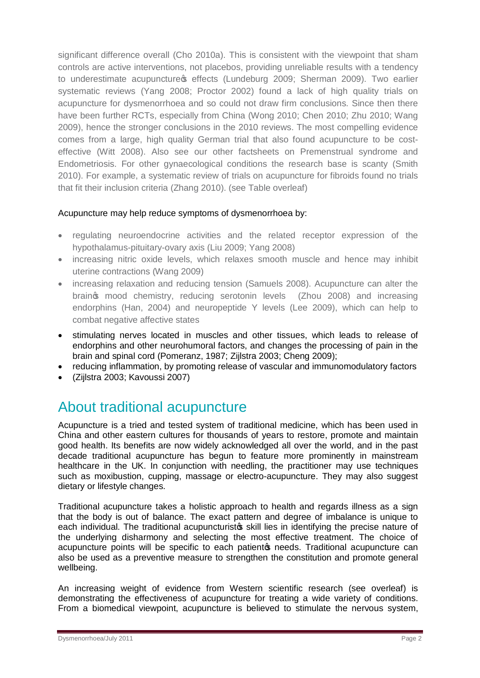significant difference overall (Cho 2010a). This is consistent with the viewpoint that sham controls are active interventions, not placebos, providing unreliable results with a tendency to underestimate acupuncture of effects (Lundeburg 2009; Sherman 2009). Two earlier systematic reviews (Yang 2008; Proctor 2002) found a lack of high quality trials on acupuncture for dysmenorrhoea and so could not draw firm conclusions. Since then there have been further RCTs, especially from China (Wong 2010; Chen 2010; Zhu 2010; Wang 2009), hence the stronger conclusions in the 2010 reviews. The most compelling evidence comes from a large, high quality German trial that also found acupuncture to be costeffective (Witt 2008). Also see our other factsheets on Premenstrual syndrome and Endometriosis. For other gynaecological conditions the research base is scanty (Smith 2010). For example, a systematic review of trials on acupuncture for fibroids found no trials that fit their inclusion criteria (Zhang 2010). (see Table overleaf)

#### Acupuncture may help reduce symptoms of dysmenorrhoea by:

- · regulating neuroendocrine activities and the related receptor expression of the hypothalamus-pituitary-ovary axis (Liu 2009; Yang 2008)
- increasing nitric oxide levels, which relaxes smooth muscle and hence may inhibit uterine contractions (Wang 2009)
- · increasing relaxation and reducing tension (Samuels 2008). Acupuncture can alter the brain's mood chemistry, reducing serotonin levels (Zhou 2008) and increasing endorphins (Han, 2004) and neuropeptide Y levels (Lee 2009), which can help to combat negative affective states
- · stimulating nerves located in muscles and other tissues, which leads to release of endorphins and other neurohumoral factors, and changes the processing of pain in the brain and spinal cord (Pomeranz, 1987; Zijlstra 2003; Cheng 2009);
- · reducing inflammation, by promoting release of vascular and immunomodulatory factors
- · (Zijlstra 2003; Kavoussi 2007)

## About traditional acupuncture

Acupuncture is a tried and tested system of traditional medicine, which has been used in China and other eastern cultures for thousands of years to restore, promote and maintain good health. Its benefits are now widely acknowledged all over the world, and in the past decade traditional acupuncture has begun to feature more prominently in mainstream healthcare in the UK. In conjunction with needling, the practitioner may use techniques such as moxibustion, cupping, massage or electro-acupuncture. They may also suggest dietary or lifestyle changes.

Traditional acupuncture takes a holistic approach to health and regards illness as a sign that the body is out of balance. The exact pattern and degree of imbalance is unique to each individual. The traditional acupuncturistos skill lies in identifying the precise nature of the underlying disharmony and selecting the most effective treatment. The choice of acupuncture points will be specific to each patiento needs. Traditional acupuncture can also be used as a preventive measure to strengthen the constitution and promote general wellbeing.

An increasing weight of evidence from Western scientific research (see overleaf) is demonstrating the effectiveness of acupuncture for treating a wide variety of conditions. From a biomedical viewpoint, acupuncture is believed to stimulate the nervous system,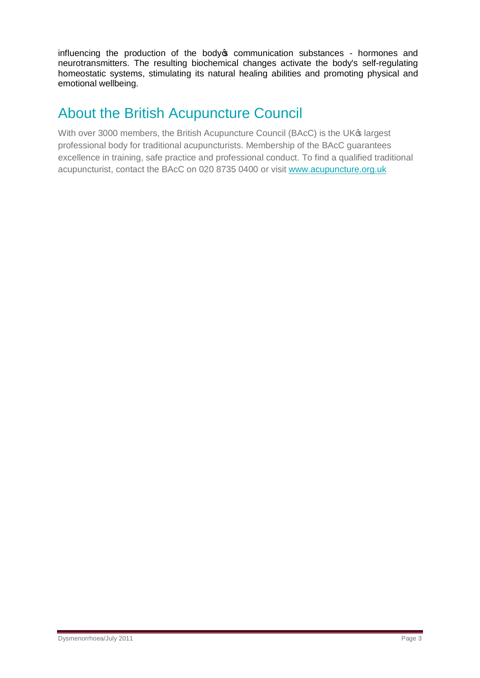influencing the production of the body ocommunication substances - hormones and neurotransmitters. The resulting biochemical changes activate the body's self-regulating homeostatic systems, stimulating its natural healing abilities and promoting physical and emotional wellbeing.

### About the British Acupuncture Council

With over 3000 members, the British Acupuncture Council (BAcC) is the UK® largest professional body for traditional acupuncturists. Membership of the BAcC guarantees excellence in training, safe practice and professional conduct. To find a qualified traditional acupuncturist, contact the BAcC on 020 8735 0400 or visit [www.acupuncture.org.uk](http://www.acupuncture.org.uk/)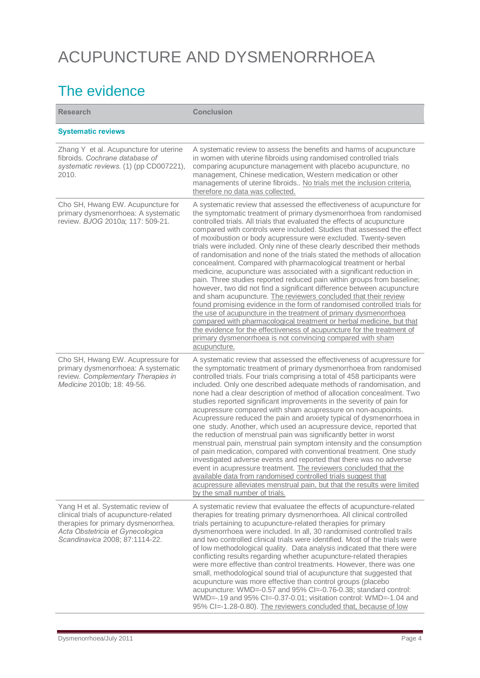# ACUPUNCTURE AND DYSMENORRHOEA

## The evidence

| <b>Research</b>                                                                                                                                                                           | <b>Conclusion</b>                                                                                                                                                                                                                                                                                                                                                                                                                                                                                                                                                                                                                                                                                                                                                                                                                                                                                                                                                                                                                                                                                                                                                                                                                                                            |
|-------------------------------------------------------------------------------------------------------------------------------------------------------------------------------------------|------------------------------------------------------------------------------------------------------------------------------------------------------------------------------------------------------------------------------------------------------------------------------------------------------------------------------------------------------------------------------------------------------------------------------------------------------------------------------------------------------------------------------------------------------------------------------------------------------------------------------------------------------------------------------------------------------------------------------------------------------------------------------------------------------------------------------------------------------------------------------------------------------------------------------------------------------------------------------------------------------------------------------------------------------------------------------------------------------------------------------------------------------------------------------------------------------------------------------------------------------------------------------|
| <b>Systematic reviews</b>                                                                                                                                                                 |                                                                                                                                                                                                                                                                                                                                                                                                                                                                                                                                                                                                                                                                                                                                                                                                                                                                                                                                                                                                                                                                                                                                                                                                                                                                              |
| Zhang Y et al. Acupuncture for uterine<br>fibroids. Cochrane database of<br>systematic reviews. (1) (pp CD007221),<br>2010.                                                               | A systematic review to assess the benefits and harms of acupuncture<br>in women with uterine fibroids using randomised controlled trials<br>comparing acupuncture management with placebo acupuncture, no<br>management, Chinese medication, Western medication or other<br>managements of uterine fibroids No trials met the inclusion criteria,<br>therefore no data was collected.                                                                                                                                                                                                                                                                                                                                                                                                                                                                                                                                                                                                                                                                                                                                                                                                                                                                                        |
| Cho SH, Hwang EW. Acupuncture for<br>primary dysmenorrhoea: A systematic<br>review. BJOG 2010a; 117: 509-21.                                                                              | A systematic review that assessed the effectiveness of acupuncture for<br>the symptomatic treatment of primary dysmenorrhoea from randomised<br>controlled trials. All trials that evaluated the effects of acupuncture<br>compared with controls were included. Studies that assessed the effect<br>of moxibustion or body acupressure were excluded. Twenty-seven<br>trials were included. Only nine of these clearly described their methods<br>of randomisation and none of the trials stated the methods of allocation<br>concealment. Compared with pharmacological treatment or herbal<br>medicine, acupuncture was associated with a significant reduction in<br>pain. Three studies reported reduced pain within groups from baseline;<br>however, two did not find a significant difference between acupuncture<br>and sham acupuncture. The reviewers concluded that their review<br>found promising evidence in the form of randomised controlled trials for<br>the use of acupuncture in the treatment of primary dysmenorrhoea<br>compared with pharmacological treatment or herbal medicine, but that<br>the evidence for the effectiveness of acupuncture for the treatment of<br>primary dysmenorrhoea is not convincing compared with sham<br>acupuncture. |
| Cho SH, Hwang EW. Acupressure for<br>primary dysmenorrhoea: A systematic<br>review. Complementary Therapies in<br>Medicine 2010b; 18: 49-56.                                              | A systematic review that assessed the effectiveness of acupressure for<br>the symptomatic treatment of primary dysmenorrhoea from randomised<br>controlled trials. Four trials comprising a total of 458 participants were<br>included. Only one described adequate methods of randomisation, and<br>none had a clear description of method of allocation concealment. Two<br>studies reported significant improvements in the severity of pain for<br>acupressure compared with sham acupressure on non-acupoints.<br>Acupressure reduced the pain and anxiety typical of dysmenorrhoea in<br>one study. Another, which used an acupressure device, reported that<br>the reduction of menstrual pain was significantly better in worst<br>menstrual pain, menstrual pain symptom intensity and the consumption<br>of pain medication, compared with conventional treatment. One study<br>investigated adverse events and reported that there was no adverse<br>event in acupressure treatment. The reviewers concluded that the<br>available data from randomised controlled trials suggest that<br>acupressure alleviates menstrual pain, but that the results were limited<br>by the small number of trials.                                                              |
| Yang H et al. Systematic review of<br>clinical trials of acupuncture-related<br>therapies for primary dysmenorrhea.<br>Acta Obstetricia et Gynecologica<br>Scandinavica 2008; 87:1114-22. | A systematic review that evaluatee the effects of acupuncture-related<br>therapies for treating primary dysmenorrhoea. All clinical controlled<br>trials pertaining to acupuncture-related therapies for primary<br>dysmenorrhoea were included. In all, 30 randomised controlled trails<br>and two controlled clinical trials were identified. Most of the trials were<br>of low methodological quality. Data analysis indicated that there were<br>conflicting results regarding whether acupuncture-related therapies<br>were more effective than control treatments. However, there was one<br>small, methodological sound trial of acupuncture that suggested that<br>acupuncture was more effective than control groups (placebo<br>acupuncture: WMD=-0.57 and 95% CI=-0.76-0.38; standard control:<br>WMD=-.19 and 95% Cl=-0.37-0.01; visitation control: WMD=-1.04 and<br>95% CI=-1.28-0.80). The reviewers concluded that, because of low                                                                                                                                                                                                                                                                                                                           |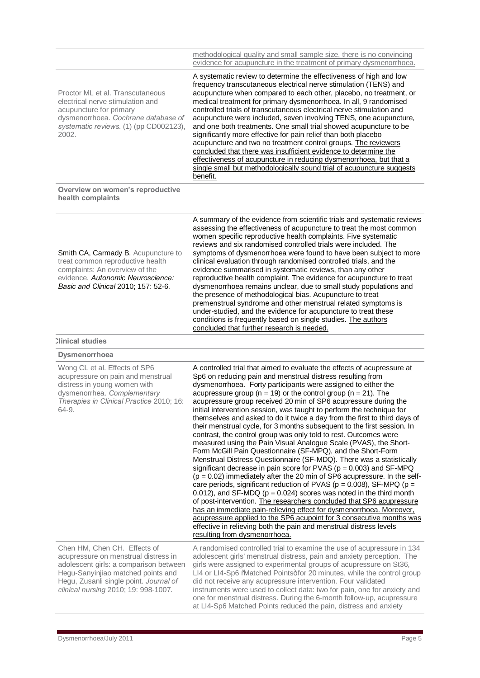|                                                                                                                                                                                           | methodological quality and small sample size, there is no convincing<br>evidence for acupuncture in the treatment of primary dysmenorrhoea.                                                                                                                                                                                                                                                                                                                                                                                                                                                                                                                                                                                                                                                                                                                           |
|-------------------------------------------------------------------------------------------------------------------------------------------------------------------------------------------|-----------------------------------------------------------------------------------------------------------------------------------------------------------------------------------------------------------------------------------------------------------------------------------------------------------------------------------------------------------------------------------------------------------------------------------------------------------------------------------------------------------------------------------------------------------------------------------------------------------------------------------------------------------------------------------------------------------------------------------------------------------------------------------------------------------------------------------------------------------------------|
| Proctor ML et al. Transcutaneous<br>electrical nerve stimulation and<br>acupuncture for primary<br>dysmenorrhoea. Cochrane database of<br>systematic reviews. (1) (pp CD002123),<br>2002. | A systematic review to determine the effectiveness of high and low<br>frequency transcutaneous electrical nerve stimulation (TENS) and<br>acupuncture when compared to each other, placebo, no treatment, or<br>medical treatment for primary dysmenorrhoea. In all, 9 randomised<br>controlled trials of transcutaneous electrical nerve stimulation and<br>acupuncture were included, seven involving TENS, one acupuncture,<br>and one both treatments. One small trial showed acupuncture to be<br>significantly more effective for pain relief than both placebo<br>acupuncture and two no treatment control groups. The reviewers<br>concluded that there was insufficient evidence to determine the<br>effectiveness of acupuncture in reducing dysmenorrhoea, but that a<br>single small but methodologically sound trial of acupuncture suggests<br>benefit. |
| Overview on women's reproductive                                                                                                                                                          |                                                                                                                                                                                                                                                                                                                                                                                                                                                                                                                                                                                                                                                                                                                                                                                                                                                                       |

**Overview on women's reproductive health complaints**

| Smith CA, Carmady B. Acupuncture to |  |  |
|-------------------------------------|--|--|
| treat common reproductive health    |  |  |
| complaints: An overview of the      |  |  |
| evidence. Autonomic Neuroscience:   |  |  |
| Basic and Clinical 2010: 157: 52-6. |  |  |
|                                     |  |  |

A summary of the evidence from scientific trials and systematic reviews assessing the effectiveness of acupuncture to treat the most common women specific reproductive health complaints. Five systematic reviews and six randomised controlled trials were included. The symptoms of dysmenorrhoea were found to have been subject to more clinical evaluation through randomised controlled trials, and the evidence summarised in systematic reviews, than any other reproductive health complaint. The evidence for acupuncture to treat dysmenorrhoea remains unclear, due to small study populations and the presence of methodological bias. Acupuncture to treat premenstrual syndrome and other menstrual related symptoms is under-studied, and the evidence for acupuncture to treat these conditions is frequently based on single studies. The authors concluded that further research is needed.

at LI4-Sp6 Matched Points reduced the pain, distress and anxiety

#### **Clinical studies**

| <b>Dysmenorrhoea</b>                                                                                                                                                                                                                   |                                                                                                                                                                                                                                                                                                                                                                                                                                                                                                                                                                                                                                                                                                                                                                                                                                                                                                                                                                                                                                                                                                                                                                                                                                                                                                                                                                                                                                                                                                                   |
|----------------------------------------------------------------------------------------------------------------------------------------------------------------------------------------------------------------------------------------|-------------------------------------------------------------------------------------------------------------------------------------------------------------------------------------------------------------------------------------------------------------------------------------------------------------------------------------------------------------------------------------------------------------------------------------------------------------------------------------------------------------------------------------------------------------------------------------------------------------------------------------------------------------------------------------------------------------------------------------------------------------------------------------------------------------------------------------------------------------------------------------------------------------------------------------------------------------------------------------------------------------------------------------------------------------------------------------------------------------------------------------------------------------------------------------------------------------------------------------------------------------------------------------------------------------------------------------------------------------------------------------------------------------------------------------------------------------------------------------------------------------------|
| Wong CL et al. Effects of SP6<br>acupressure on pain and menstrual<br>distress in young women with<br>dysmenorrhea. Complementary<br>Therapies in Clinical Practice 2010; 16:<br>64-9.                                                 | A controlled trial that aimed to evaluate the effects of acupressure at<br>Sp6 on reducing pain and menstrual distress resulting from<br>dysmenorrhoea. Forty participants were assigned to either the<br>acupressure group ( $n = 19$ ) or the control group ( $n = 21$ ). The<br>acupressure group received 20 min of SP6 acupressure during the<br>initial intervention session, was taught to perform the technique for<br>themselves and asked to do it twice a day from the first to third days of<br>their menstrual cycle, for 3 months subsequent to the first session. In<br>contrast, the control group was only told to rest. Outcomes were<br>measured using the Pain Visual Analogue Scale (PVAS), the Short-<br>Form McGill Pain Questionnaire (SF-MPQ), and the Short-Form<br>Menstrual Distress Questionnaire (SF-MDQ). There was a statistically<br>significant decrease in pain score for PVAS ( $p = 0.003$ ) and SF-MPQ<br>$(p = 0.02)$ immediately after the 20 min of SP6 acupressure. In the self-<br>care periods, significant reduction of PVAS ( $p = 0.008$ ), SF-MPQ ( $p =$<br>0.012), and SF-MDQ ( $p = 0.024$ ) scores was noted in the third month<br>of post-intervention. The researchers concluded that SP6 acupressure<br>has an immediate pain-relieving effect for dysmenorrhoea. Moreover,<br>acupressure applied to the SP6 acupoint for 3 consecutive months was<br>effective in relieving both the pain and menstrual distress levels<br>resulting from dysmenorrhoea. |
| Chen HM, Chen CH. Effects of<br>acupressure on menstrual distress in<br>adolescent girls: a comparison between<br>Hegu-Sanyinjiao matched points and<br>Hegu, Zusanli single point. Journal of<br>clinical nursing 2010; 19: 998-1007. | A randomised controlled trial to examine the use of acupressure in 134<br>adolescent girls' menstrual distress, pain and anxiety perception. The<br>girls were assigned to experimental groups of acupressure on St36,<br>LI4 or LI4-Sp6 %Matched Points+for 20 minutes, while the control group<br>did not receive any acupressure intervention. Four validated<br>instruments were used to collect data: two for pain, one for anxiety and<br>one for menstrual distress. During the 6-month follow-up, acupressure                                                                                                                                                                                                                                                                                                                                                                                                                                                                                                                                                                                                                                                                                                                                                                                                                                                                                                                                                                                             |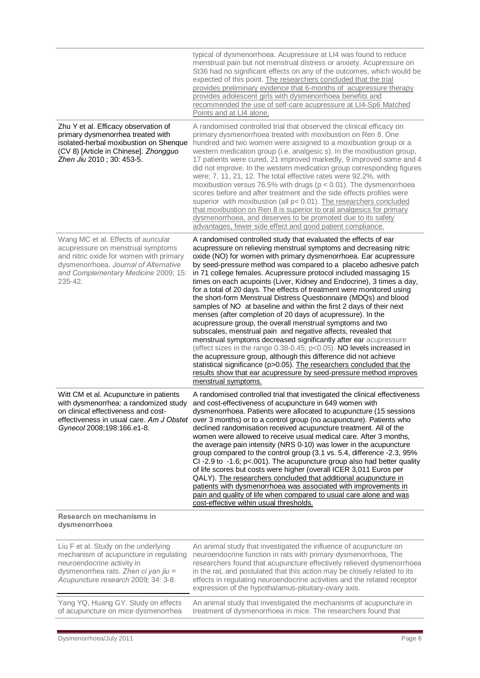|                                                                                                                                                                                                                 | typical of dysmenorrhoea. Acupressure at LI4 was found to reduce<br>menstrual pain but not menstrual distress or anxiety. Acupressure on<br>St36 had no significant effects on any of the outcomes, which would be<br>expected of this point. The researchers concluded that the trial<br>provides preliminary evidence that 6-months of acupressure therapy<br>provides adolescent girls with dysmenorrhoea benefits and<br>recommended the use of self-care acupressure at LI4-Sp6 Matched<br>Points and at LI4 alone.                                                                                                                                                                                                                                                                                                                                                                                                                                                                                                                                                                                                                                                                                                             |
|-----------------------------------------------------------------------------------------------------------------------------------------------------------------------------------------------------------------|--------------------------------------------------------------------------------------------------------------------------------------------------------------------------------------------------------------------------------------------------------------------------------------------------------------------------------------------------------------------------------------------------------------------------------------------------------------------------------------------------------------------------------------------------------------------------------------------------------------------------------------------------------------------------------------------------------------------------------------------------------------------------------------------------------------------------------------------------------------------------------------------------------------------------------------------------------------------------------------------------------------------------------------------------------------------------------------------------------------------------------------------------------------------------------------------------------------------------------------|
| Zhu Y et al. Efficacy observation of<br>primary dysmenorrhea treated with<br>isolated-herbal moxibustion on Shenque<br>(CV 8) [Article in Chinese]. Zhongguo<br>Zhen Jiu 2010; 30: 453-5.                       | A randomised controlled trial that observed the clinical efficacy on<br>primary dysmenorrhoea treated with moxibustion on Ren 8. One<br>hundred and two women were assigned to a moxibustion group or a<br>western medication group (i.e. analgesic s). In the moxibustion group,<br>17 patients were cured, 21 improved markedly, 9 improved some and 4<br>did not improve. In the western medication group corresponding figures<br>were; 7, 11, 21, 12. The total effective rates were 92.2%. with<br>moxibustion versus 76.5% with drugs ( $p < 0.01$ ). The dysmenorrhoea<br>scores before and after treatment and the side effects profiles were<br>superior with moxibustion (all p< 0.01). The researchers concluded<br>that moxibustion on Ren 8 is superior to oral analgesics for primary<br>dysmenorrhoea, and deserves to be promoted due to its safety<br>advantages, fewer side effect and good patient compliance.                                                                                                                                                                                                                                                                                                   |
| Wang MC et al. Effects of auricular<br>acupressure on menstrual symptoms<br>and nitric oxide for women with primary<br>dysmenorrhoea. Journal of Alternative<br>and Complementary Medicine 2009; 15:<br>235-42. | A randomised controlled study that evaluated the effects of ear<br>acupressure on relieving menstrual symptoms and decreasing nitric<br>oxide (NO) for women with primary dysmenorrhoea. Ear acupressure<br>by seed-pressure method was compared to a placebo adhesive patch<br>in 71 college females. Acupressure protocol included massaging 15<br>times on each acupoints (Liver, Kidney and Endocrine), 3 times a day,<br>for a total of 20 days. The effects of treatment were monitored using<br>the short-form Menstrual Distress Questionnaire (MDQs) and blood<br>samples of NO at baseline and within the first 2 days of their next<br>menses (after completion of 20 days of acupressure). In the<br>acupressure group, the overall menstrual symptoms and two<br>subscales, menstrual pain and negative affects, revealed that<br>menstrual symptoms decreased significantly after ear acupressure<br>(effect sizes in the range $0.38-0.45$ ; p<0.05). NO levels increased in<br>the acupressure group, although this difference did not achieve<br>statistical significance (p>0.05). The researchers concluded that the<br>results show that ear acupressure by seed-pressure method improves<br>menstrual symptoms. |
| Witt CM et al. Acupuncture in patients<br>with dysmenorrhea: a randomized study<br>on clinical effectiveness and cost-<br>effectiveness in usual care. Am J Obstet<br>Gynecol 2008;198:166.e1-8.                | A randomised controlled trial that investigated the clinical effectiveness<br>and cost-effectiveness of acupuncture in 649 women with<br>dysmenorrhoea. Patients were allocated to acupuncture (15 sessions<br>over 3 months) or to a control group (no acupuncture). Patients who<br>declined randomisation received acupuncture treatment. All of the<br>women were allowed to receive usual medical care. After 3 months,<br>the average pain intensity (NRS 0-10) was lower in the acupuncture<br>group compared to the control group (3.1 vs. 5.4, difference -2.3, 95%<br>CI-2.9 to -1.6; $p$ <.001). The acupuncture group also had better quality<br>of life scores but costs were higher (overall ICER 3,011 Euros per<br>QALY). The researchers concluded that additional acupuncture in<br>patients with dysmenorrhoea was associated with improvements in<br>pain and quality of life when compared to usual care alone and was<br>cost-effective within usual thresholds.                                                                                                                                                                                                                                               |
| Research on mechanisms in<br>dysmenorrhoea                                                                                                                                                                      |                                                                                                                                                                                                                                                                                                                                                                                                                                                                                                                                                                                                                                                                                                                                                                                                                                                                                                                                                                                                                                                                                                                                                                                                                                      |
| Liu F et al. Study on the underlying<br>mechanism of acupuncture in regulating<br>neuroendocrine activity in<br>dysmenorrhea rats. Zhen ci yan jiu =<br>Acupuncture research 2009; 34: 3-8.                     | An animal study that investigated the influence of acupuncture on<br>neuroendocrine function in rats with primary dysmenorrhoea, The<br>researchers found that acupuncture effectively relieved dysmenorrhoea<br>in the rat, and postulated that this action may be closely related to its<br>effects in regulating neuroendocrine activities and the related receptor<br>expression of the hypothalamus-pituitary-ovary axis.                                                                                                                                                                                                                                                                                                                                                                                                                                                                                                                                                                                                                                                                                                                                                                                                       |
| Yang YQ, Huang GY. Study on effects<br>of acupuncture on mice dysmenorrhea                                                                                                                                      | An animal study that investigated the mechanisms of acupuncture in<br>treatment of dysmenorrhoea in mice. The researchers found that                                                                                                                                                                                                                                                                                                                                                                                                                                                                                                                                                                                                                                                                                                                                                                                                                                                                                                                                                                                                                                                                                                 |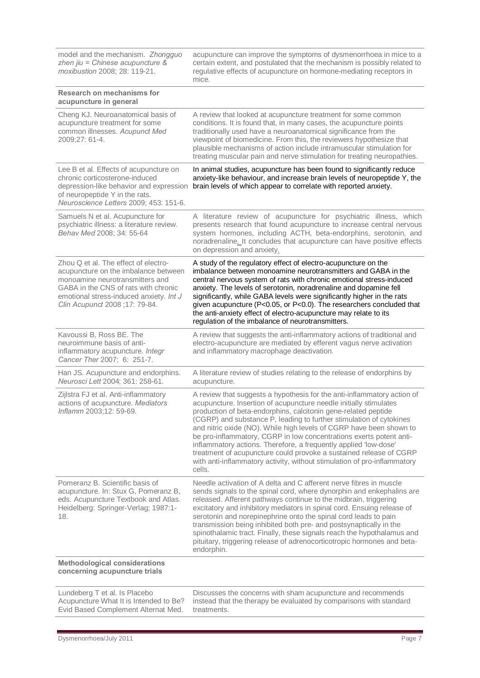| model and the mechanism. Zhongguo<br>zhen jiu = Chinese acupuncture &<br>moxibustion 2008; 28: 119-21.                                                                                                                               | acupuncture can improve the symptoms of dysmenorrhoea in mice to a<br>certain extent, and postulated that the mechanism is possibly related to<br>regulative effects of acupuncture on hormone-mediating receptors in<br>mice.                                                                                                                                                                                                                                                                                                                                                                                                                                      |
|--------------------------------------------------------------------------------------------------------------------------------------------------------------------------------------------------------------------------------------|---------------------------------------------------------------------------------------------------------------------------------------------------------------------------------------------------------------------------------------------------------------------------------------------------------------------------------------------------------------------------------------------------------------------------------------------------------------------------------------------------------------------------------------------------------------------------------------------------------------------------------------------------------------------|
| <b>Research on mechanisms for</b><br>acupuncture in general                                                                                                                                                                          |                                                                                                                                                                                                                                                                                                                                                                                                                                                                                                                                                                                                                                                                     |
| Cheng KJ. Neuroanatomical basis of<br>acupuncture treatment for some<br>common illnesses. Acupunct Med<br>2009;27: 61-4.                                                                                                             | A review that looked at acupuncture treatment for some common<br>conditions. It is found that, in many cases, the acupuncture points<br>traditionally used have a neuroanatomical significance from the<br>viewpoint of biomedicine. From this, the reviewers hypothesize that<br>plausible mechanisms of action include intramuscular stimulation for<br>treating muscular pain and nerve stimulation for treating neuropathies.                                                                                                                                                                                                                                   |
| Lee B et al. Effects of acupuncture on<br>chronic corticosterone-induced<br>depression-like behavior and expression<br>of neuropeptide Y in the rats.<br>Neuroscience Letters 2009; 453: 151-6.                                      | In animal studies, acupuncture has been found to significantly reduce<br>anxiety-like behaviour, and increase brain levels of neuropeptide Y, the<br>brain levels of which appear to correlate with reported anxiety.                                                                                                                                                                                                                                                                                                                                                                                                                                               |
| Samuels N et al. Acupuncture for<br>psychiatric illness: a literature review.<br>Behav Med 2008; 34: 55-64                                                                                                                           | A literature review of acupuncture for psychiatric illness, which<br>presents research that found acupuncture to increase central nervous<br>system hormones, including ACTH, beta-endorphins, serotonin, and<br>noradrenaline. It concludes that acupuncture can have positive effects<br>on depression and anxiety.                                                                                                                                                                                                                                                                                                                                               |
| Zhou Q et al. The effect of electro-<br>acupuncture on the imbalance between<br>monoamine neurotransmitters and<br>GABA in the CNS of rats with chronic<br>emotional stress-induced anxiety. Int J<br>Clin Acupunct 2008 ;17: 79-84. | A study of the regulatory effect of electro-acupuncture on the<br>imbalance between monoamine neurotransmitters and GABA in the<br>central nervous system of rats with chronic emotional stress-induced<br>anxiety. The levels of serotonin, noradrenaline and dopamine fell<br>significantly, while GABA levels were significantly higher in the rats<br>given acupuncture (P<0.05, or P<0.0). The researchers concluded that<br>the anti-anxiety effect of electro-acupuncture may relate to its<br>regulation of the imbalance of neurotransmitters.                                                                                                             |
| Kavoussi B, Ross BE. The<br>neuroimmune basis of anti-<br>inflammatory acupuncture. Integr<br>Cancer Ther 2007; 6: 251-7.                                                                                                            | A review that suggests the anti-inflammatory actions of traditional and<br>electro-acupuncture are mediated by efferent vagus nerve activation<br>and inflammatory macrophage deactivation.                                                                                                                                                                                                                                                                                                                                                                                                                                                                         |
| Han JS. Acupuncture and endorphins.<br>Neurosci Lett 2004; 361: 258-61.                                                                                                                                                              | A literature review of studies relating to the release of endorphins by<br>acupuncture.                                                                                                                                                                                                                                                                                                                                                                                                                                                                                                                                                                             |
| Zijlstra FJ et al. Anti-inflammatory<br>actions of acupuncture. Mediators<br>Inflamm 2003;12: 59-69.                                                                                                                                 | A review that suggests a hypothesis for the anti-inflammatory action of<br>acupuncture. Insertion of acupuncture needle initially stimulates<br>production of beta-endorphins, calcitonin gene-related peptide<br>(CGRP) and substance P, leading to further stimulation of cytokines<br>and nitric oxide (NO). While high levels of CGRP have been shown to<br>be pro-inflammatory, CGRP in low concentrations exerts potent anti-<br>inflammatory actions. Therefore, a frequently applied 'low-dose'<br>treatment of acupuncture could provoke a sustained release of CGRP<br>with anti-inflammatory activity, without stimulation of pro-inflammatory<br>cells. |
| Pomeranz B. Scientific basis of<br>acupuncture. In: Stux G, Pomeranz B,<br>eds. Acupuncture Textbook and Atlas.<br>Heidelberg: Springer-Verlag; 1987:1-<br>18.                                                                       | Needle activation of A delta and C afferent nerve fibres in muscle<br>sends signals to the spinal cord, where dynorphin and enkephalins are<br>released. Afferent pathways continue to the midbrain, triggering<br>excitatory and inhibitory mediators in spinal cord. Ensuing release of<br>serotonin and norepinephrine onto the spinal cord leads to pain<br>transmission being inhibited both pre- and postsynaptically in the<br>spinothalamic tract. Finally, these signals reach the hypothalamus and<br>pituitary, triggering release of adrenocorticotropic hormones and beta-<br>endorphin.                                                               |
| <b>Methodological considerations</b><br>concerning acupuncture trials                                                                                                                                                                |                                                                                                                                                                                                                                                                                                                                                                                                                                                                                                                                                                                                                                                                     |
| Lundeberg T et al. Is Placebo<br>Acupuncture What It is Intended to Be?<br>Evid Based Complement Alternat Med.                                                                                                                       | Discusses the concerns with sham acupuncture and recommends<br>instead that the therapy be evaluated by comparisons with standard<br>treatments.                                                                                                                                                                                                                                                                                                                                                                                                                                                                                                                    |